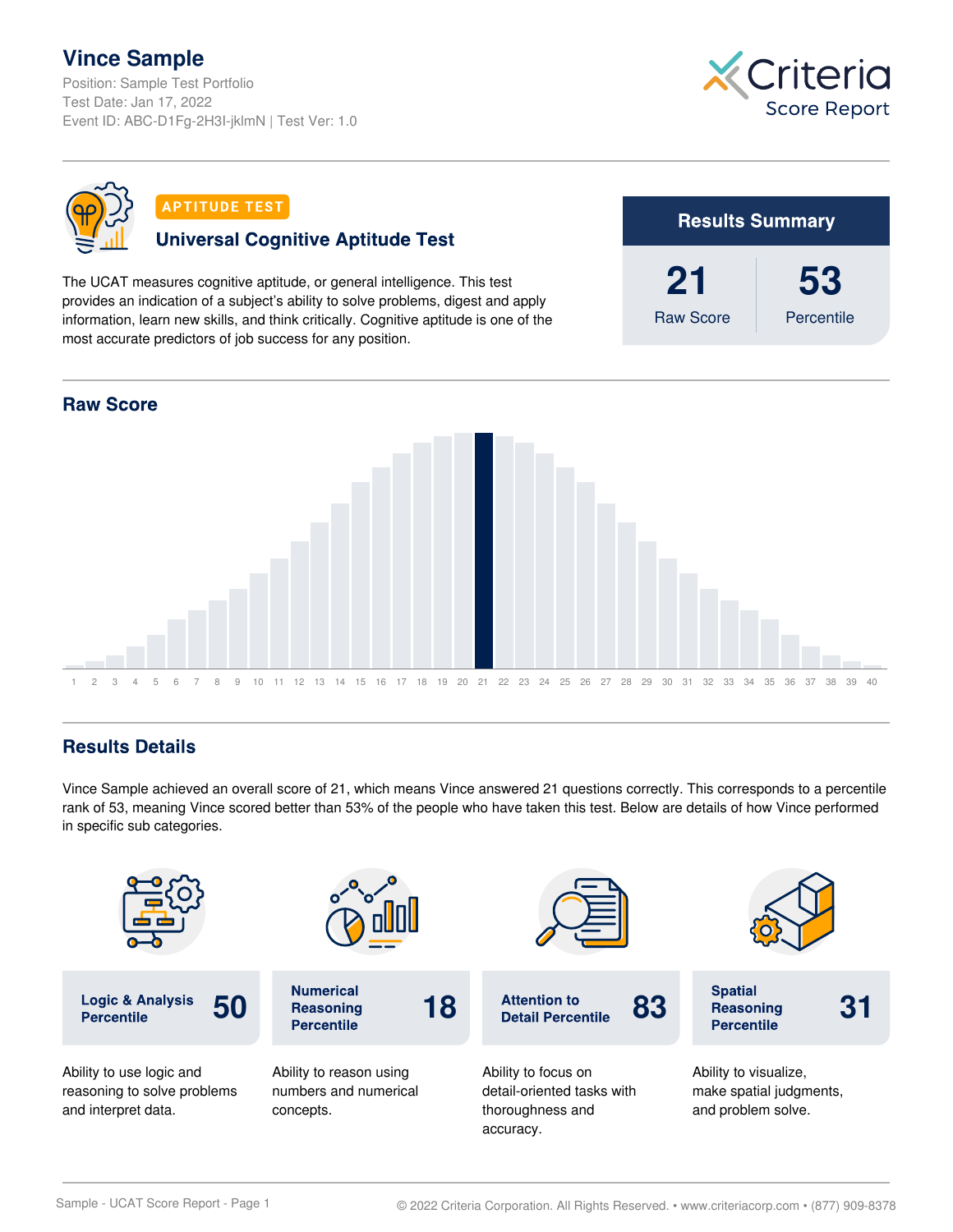## **Vince Sample**

Position: Sample Test Portfolio Test Date: Jan 17, 2022 Event ID: ABC-D1Fg-2H3I-jklmN | Test Ver: 1.0





#### **APTITUDE TEST**

### **Universal Cognitive Aptitude Test**

The UCAT measures cognitive aptitude, or general intelligence. This test provides an indication of a subject's ability to solve problems, digest and apply information, learn new skills, and think critically. Cognitive aptitude is one of the most accurate predictors of job success for any position.





### **Results Details**

Vince Sample achieved an overall score of 21, which means Vince answered 21 questions correctly. This corresponds to a percentile rank of 53, meaning Vince scored better than 53% of the people who have taken this test. Below are details of how Vince performed in specific sub categories.